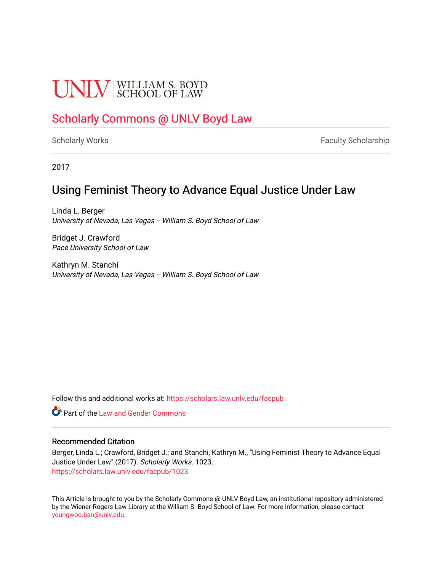# **UNIV** SCHOOL OF LAW

## [Scholarly Commons @ UNLV Boyd Law](https://scholars.law.unlv.edu/)

[Scholarly Works](https://scholars.law.unlv.edu/facpub) **Faculty Scholarship** Faculty Scholarship

2017

## Using Feminist Theory to Advance Equal Justice Under Law

Linda L. Berger University of Nevada, Las Vegas -- William S. Boyd School of Law

Bridget J. Crawford Pace University School of Law

Kathryn M. Stanchi University of Nevada, Las Vegas -- William S. Boyd School of Law

Follow this and additional works at: [https://scholars.law.unlv.edu/facpub](https://scholars.law.unlv.edu/facpub?utm_source=scholars.law.unlv.edu%2Ffacpub%2F1023&utm_medium=PDF&utm_campaign=PDFCoverPages)

**C** Part of the Law and Gender Commons

#### Recommended Citation

Berger, Linda L.; Crawford, Bridget J.; and Stanchi, Kathryn M., "Using Feminist Theory to Advance Equal Justice Under Law" (2017). Scholarly Works. 1023. [https://scholars.law.unlv.edu/facpub/1023](https://scholars.law.unlv.edu/facpub/1023?utm_source=scholars.law.unlv.edu%2Ffacpub%2F1023&utm_medium=PDF&utm_campaign=PDFCoverPages) 

This Article is brought to you by the Scholarly Commons @ UNLV Boyd Law, an institutional repository administered by the Wiener-Rogers Law Library at the William S. Boyd School of Law. For more information, please contact [youngwoo.ban@unlv.edu.](mailto:youngwoo.ban@unlv.edu)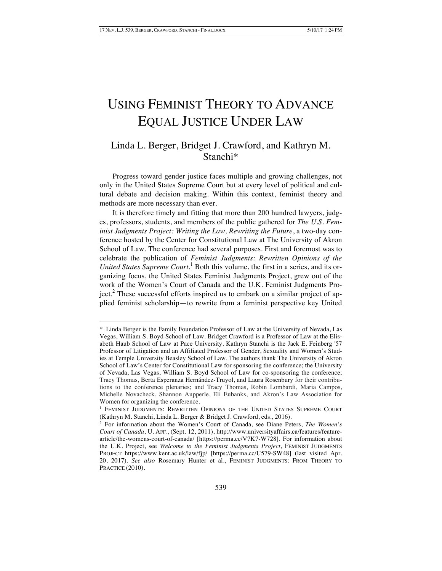$\overline{a}$ 

## USING FEMINIST THEORY TO ADVANCE EQUAL JUSTICE UNDER LAW

### Linda L. Berger, Bridget J. Crawford, and Kathryn M. Stanchi\*

Progress toward gender justice faces multiple and growing challenges, not only in the United States Supreme Court but at every level of political and cultural debate and decision making. Within this context, feminist theory and methods are more necessary than ever.

It is therefore timely and fitting that more than 200 hundred lawyers, judges, professors, students, and members of the public gathered for *The U.S. Feminist Judgments Project: Writing the Law, Rewriting the Future*, a two-day conference hosted by the Center for Constitutional Law at The University of Akron School of Law. The conference had several purposes. First and foremost was to celebrate the publication of *Feminist Judgments: Rewritten Opinions of the United States Supreme Court*. <sup>1</sup> Both this volume, the first in a series, and its organizing focus, the United States Feminist Judgments Project, grew out of the work of the Women's Court of Canada and the U.K. Feminist Judgments Project.<sup>2</sup> These successful efforts inspired us to embark on a similar project of applied feminist scholarship—to rewrite from a feminist perspective key United

<sup>\*</sup> Linda Berger is the Family Foundation Professor of Law at the University of Nevada, Las Vegas, William S. Boyd School of Law. Bridget Crawford is a Professor of Law at the Elisabeth Haub School of Law at Pace University. Kathryn Stanchi is the Jack E. Feinberg '57 Professor of Litigation and an Affiliated Professor of Gender, Sexuality and Women's Studies at Temple University Beasley School of Law. The authors thank The University of Akron School of Law's Center for Constitutional Law for sponsoring the conference; the University of Nevada, Las Vegas, William S. Boyd School of Law for co-sponsoring the conference; Tracy Thomas, Berta Esperanza Hernández-Truyol, and Laura Rosenbury for their contributions to the conference plenaries; and Tracy Thomas, Robin Lombardi, Maria Campos, Michelle Novacheck, Shannon Aupperle, Eli Eubanks, and Akron's Law Association for Women for organizing the conference.

<sup>&</sup>lt;sup>1</sup> FEMINIST JUDGMENTS: REWRITTEN OPINIONS OF THE UNITED STATES SUPREME COURT (Kathryn M. Stanchi, Linda L. Berger & Bridget J. Crawford, eds., 2016).

<sup>2</sup> For information about the Women's Court of Canada, see Diane Peters, *The Women's Court of Canada*, U. AFF., (Sept. 12, 2011), http://www.universityaffairs.ca/features/featurearticle/the-womens-court-of-canada/ [https://perma.cc/V7K7-W728]. For information about the U.K. Project, see *Welcome to the Feminist Judgments Project*, FEMINIST JUDGMENTS PROJECT https://www.kent.ac.uk/law/fjp/ [https://perma.cc/U579-SW48] (last visited Apr. 20, 2017). *See also* Rosemary Hunter et al., FEMINIST JUDGMENTS: FROM THEORY TO PRACTICE (2010).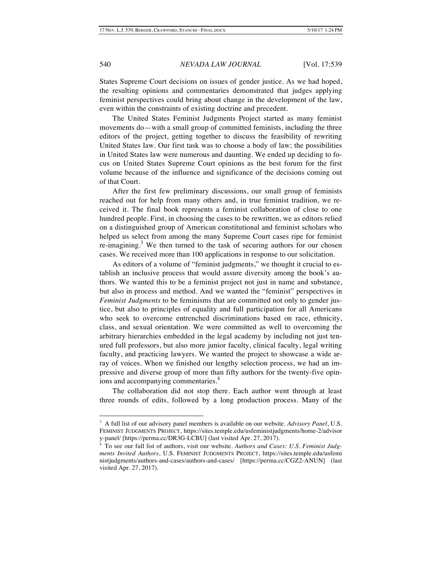States Supreme Court decisions on issues of gender justice. As we had hoped, the resulting opinions and commentaries demonstrated that judges applying feminist perspectives could bring about change in the development of the law, even within the constraints of existing doctrine and precedent.

The United States Feminist Judgments Project started as many feminist movements do—with a small group of committed feminists, including the three editors of the project, getting together to discuss the feasibility of rewriting United States law. Our first task was to choose a body of law; the possibilities in United States law were numerous and daunting. We ended up deciding to focus on United States Supreme Court opinions as the best forum for the first volume because of the influence and significance of the decisions coming out of that Court.

After the first few preliminary discussions, our small group of feminists reached out for help from many others and, in true feminist tradition, we received it. The final book represents a feminist collaboration of close to one hundred people. First, in choosing the cases to be rewritten, we as editors relied on a distinguished group of American constitutional and feminist scholars who helped us select from among the many Supreme Court cases ripe for feminist re-imagining.<sup>3</sup> We then turned to the task of securing authors for our chosen cases. We received more than 100 applications in response to our solicitation.

As editors of a volume of "feminist judgments," we thought it crucial to establish an inclusive process that would assure diversity among the book's authors. We wanted this to be a feminist project not just in name and substance, but also in process and method. And we wanted the "feminist" perspectives in *Feminist Judgments* to be feminisms that are committed not only to gender justice, but also to principles of equality and full participation for all Americans who seek to overcome entrenched discriminations based on race, ethnicity, class, and sexual orientation. We were committed as well to overcoming the arbitrary hierarchies embedded in the legal academy by including not just tenured full professors, but also more junior faculty, clinical faculty, legal writing faculty, and practicing lawyers. We wanted the project to showcase a wide array of voices. When we finished our lengthy selection process, we had an impressive and diverse group of more than fifty authors for the twenty-five opinions and accompanying commentaries.<sup>4</sup>

The collaboration did not stop there. Each author went through at least three rounds of edits, followed by a long production process. Many of the

<sup>&</sup>lt;sup>-</sup><br>3 A full list of our advisory panel members is available on our website. *Advisory Panel*, U.S. FEMINIST JUDGMENTS PROJECT, https://sites.temple.edu/usfeministjudgments/home-2/advisor y-panel/ [https://perma.cc/DR3G-LCBU] (last visited Apr. 27, 2017).

<sup>4</sup> To see our full list of authors, visit our website. *Authors and Cases: U.S. Feminist Judgments Invited Authors*, U.S. FEMINIST JUDGMENTS PROJECT, https://sites.temple.edu/usfemi nistjudgments/authors-and-cases/authors-and-cases/ [https://perma.cc/CGZ2-ANUN] (last visited Apr. 27, 2017).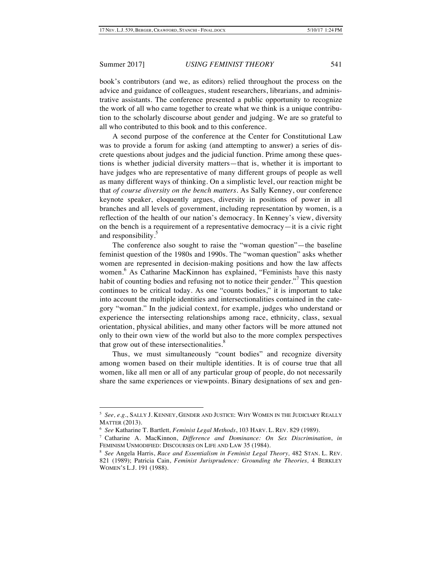book's contributors (and we, as editors) relied throughout the process on the advice and guidance of colleagues, student researchers, librarians, and administrative assistants. The conference presented a public opportunity to recognize the work of all who came together to create what we think is a unique contribution to the scholarly discourse about gender and judging. We are so grateful to all who contributed to this book and to this conference.

A second purpose of the conference at the Center for Constitutional Law was to provide a forum for asking (and attempting to answer) a series of discrete questions about judges and the judicial function. Prime among these questions is whether judicial diversity matters—that is, whether it is important to have judges who are representative of many different groups of people as well as many different ways of thinking. On a simplistic level, our reaction might be that *of course diversity on the bench matters*. As Sally Kenney, our conference keynote speaker, eloquently argues, diversity in positions of power in all branches and all levels of government, including representation by women, is a reflection of the health of our nation's democracy. In Kenney's view, diversity on the bench is a requirement of a representative democracy—it is a civic right and responsibility.<sup>3</sup>

The conference also sought to raise the "woman question"—the baseline feminist question of the 1980s and 1990s. The "woman question" asks whether women are represented in decision-making positions and how the law affects women. <sup>6</sup> As Catharine MacKinnon has explained, "Feminists have this nasty habit of counting bodies and refusing not to notice their gender."<sup>7</sup> This question continues to be critical today. As one "counts bodies," it is important to take into account the multiple identities and intersectionalities contained in the category "woman." In the judicial context, for example, judges who understand or experience the intersecting relationships among race, ethnicity, class, sexual orientation, physical abilities, and many other factors will be more attuned not only to their own view of the world but also to the more complex perspectives that grow out of these intersectionalities.<sup>8</sup>

Thus, we must simultaneously "count bodies" and recognize diversity among women based on their multiple identities. It is of course true that all women, like all men or all of any particular group of people, do not necessarily share the same experiences or viewpoints. Binary designations of sex and gen-

 <sup>5</sup> *See, e.g.*, SALLY J. KENNEY, GENDER AND JUSTICE: WHY WOMEN IN THE JUDICIARY REALLY MATTER (2013).

<sup>6</sup> *See* Katharine T. Bartlett*, Feminist Legal Methods*, 103 HARV. L. REV. 829 (1989).

<sup>7</sup> Catharine A. MacKinnon, *Difference and Dominance: On Sex Discrimination*, *in* FEMINISM UNMODIFIED: DISCOURSES ON LIFE AND LAW 35 (1984).

<sup>8</sup> *See* Angela Harris, *Race and Essentialism in Feminist Legal Theory,* 482 STAN. L. REV. 821 (1989); Patricia Cain, *Feminist Jurisprudence: Grounding the Theories,* 4 BERKLEY WOMEN'S L.J. 191 (1988).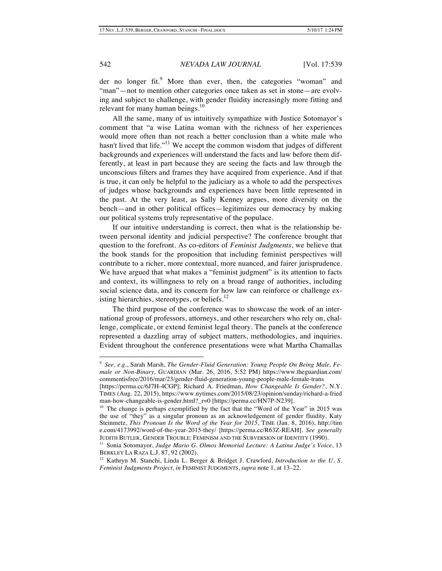der no longer fit.<sup>9</sup> More than ever, then, the categories "woman" and "man"—not to mention other categories once taken as set in stone—are evolving and subject to challenge, with gender fluidity increasingly more fitting and relevant for many human beings.<sup>10</sup>

All the same, many of us intuitively sympathize with Justice Sotomayor's comment that "a wise Latina woman with the richness of her experiences would more often than not reach a better conclusion than a white male who hasn't lived that life."<sup>11</sup> We accept the common wisdom that judges of different backgrounds and experiences will understand the facts and law before them differently, at least in part because they are seeing the facts and law through the unconscious filters and frames they have acquired from experience. And if that is true, it can only be helpful to the judiciary as a whole to add the perspectives of judges whose backgrounds and experiences have been little represented in the past. At the very least, as Sally Kenney argues, more diversity on the bench—and in other political offices—legitimizes our democracy by making our political systems truly representative of the populace.

If our intuitive understanding is correct, then what is the relationship between personal identity and judicial perspective? The conference brought that question to the forefront. As co-editors of *Feminist Judgments*, we believe that the book stands for the proposition that including feminist perspectives will contribute to a richer, more contextual, more nuanced, and fairer jurisprudence. We have argued that what makes a "feminist judgment" is its attention to facts and context, its willingness to rely on a broad range of authorities, including social science data, and its concern for how law can reinforce or challenge existing hierarchies, stereotypes, or beliefs.<sup>12</sup>

The third purpose of the conference was to showcase the work of an international group of professors, attorneys, and other researchers who rely on, challenge, complicate, or extend feminist legal theory. The panels at the conference represented a dazzling array of subject matters, methodologies, and inquiries. Evident throughout the conference presentations were what Martha Chamallas

<sup>-&</sup>lt;br>9 <sup>9</sup> See, e.g., Sarah Marsh, *The Gender-Fluid Generation: Young People On Being Male, Female or Non-Binary,* GUARDIAN (Mar. 26, 2016, 5:52 PM) https://www.theguardian.com/ commentisfree/2016/mar/23/gender-fluid-generation-young-people-male-female-trans

<sup>[</sup>https://perma.cc/6J7H-4CGP]; Richard A. Friedman, *How Changeable Is Gender?*, N.Y. TIMES (Aug. 22, 2015), https://www.nytimes.com/2015/08/23/opinion/sunday/richard-a-fried man-how-changeable-is-gender.html?\_r=0 [https://perma.cc/HN7P-N239].

<sup>&</sup>lt;sup>10</sup> The change is perhaps exemplified by the fact that the "Word of the Year" in 2015 was the use of "they" as a singular pronoun as an acknowledgement of gender fluidity. Katy Steinmetz, *This Pronoun Is the Word of the Year for 2015*, TIME (Jan. 8, 2016), http://tim e.com/4173992/word-of-the-year-2015-they/ [https://perma.cc/R63Z-REAH]. *See generally* JUDITH BUTLER, GENDER TROUBLE: FEMINISM AND THE SUBVERSION OF IDENTITY (1990).

<sup>11</sup> Sonia Sotomayor, *Judge Mario G. Olmos Memorial Lecture: A Latina Judge's Voice*, 13 BERKLEY LA RAZA L.J. 87, 92 (2002).

<sup>12</sup> Kathryn M. Stanchi, Linda L. Berger & Bridget J. Crawford, *Introduction to the U. S. Feminist Judgments Project*, *in* FEMINIST JUDGMENTS, *supra* note 1, at 13–22.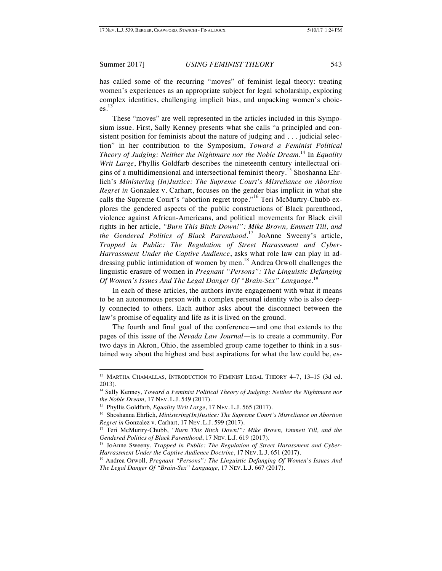has called some of the recurring "moves" of feminist legal theory: treating women's experiences as an appropriate subject for legal scholarship, exploring complex identities, challenging implicit bias, and unpacking women's choices. 13

These "moves" are well represented in the articles included in this Symposium issue. First, Sally Kenney presents what she calls "a principled and consistent position for feminists about the nature of judging and . . . judicial selection" in her contribution to the Symposium, *Toward a Feminist Political Theory of Judging: Neither the Nightmare nor the Noble Dream*. <sup>14</sup> In *Equality Writ Large*, Phyllis Goldfarb describes the nineteenth century intellectual origins of a multidimensional and intersectional feminist theory.<sup>15</sup> Shoshanna Ehrlich's *Ministering (In)Justice: The Supreme Court's Misreliance on Abortion Regret in* Gonzalez v. Carhart, focuses on the gender bias implicit in what she calls the Supreme Court's "abortion regret trope."<sup>16</sup> Teri McMurtry-Chubb explores the gendered aspects of the public constructions of Black parenthood, violence against African-Americans, and political movements for Black civil rights in her article, *"Burn This Bitch Down!": Mike Brown, Emmett Till, and the Gendered Politics of Black Parenthood*. <sup>17</sup> JoAnne Sweeny's article, *Trapped in Public: The Regulation of Street Harassment and Cyber-Harrassment Under the Captive Audience*, asks what role law can play in addressing public intimidation of women by men.<sup>18</sup> Andrea Orwoll challenges the linguistic erasure of women in *Pregnant "Persons": The Linguistic Defanging Of Women's Issues And The Legal Danger Of "Brain-Sex" Language*. 19

In each of these articles, the authors invite engagement with what it means to be an autonomous person with a complex personal identity who is also deeply connected to others. Each author asks about the disconnect between the law's promise of equality and life as it is lived on the ground.

The fourth and final goal of the conference—and one that extends to the pages of this issue of the *Nevada Law Journal*—is to create a community. For two days in Akron, Ohio, the assembled group came together to think in a sustained way about the highest and best aspirations for what the law could be, es-

<sup>&</sup>lt;sup>13</sup> MARTHA CHAMALLAS, INTRODUCTION TO FEMINIST LEGAL THEORY 4-7, 13-15 (3d ed. 2013).

<sup>&</sup>lt;sup>14</sup> Sally Kenney, *Toward a Feminist Political Theory of Judging: Neither the Nightmare nor the Noble Dream,* 17 NEV. L.J. 549 (2017).

<sup>15</sup> Phyllis Goldfarb*, Equality Writ Large*, 17 NEV. L.J. 565 (2017).

<sup>&</sup>lt;sup>16</sup> Shoshanna Ehrlich, *Ministering(In)Justice: The Supreme Court's Misreliance on Abortion Regret in* Gonzalez v. Carhart, 17 NEV. L.J. 599 (2017).

<sup>17</sup> Teri McMurtry-Chubb, *"Burn This Bitch Down!": Mike Brown, Emmett Till, and the Gendered Politics of Black Parenthood*, 17 NEV. L.J. 619 (2017).

<sup>&</sup>lt;sup>18</sup> JoAnne Sweeny, *Trapped in Public: The Regulation of Street Harassment and Cyber-Harrassment Under the Captive Audience Doctrine*, 17 NEV. L.J. 651 (2017).

<sup>19</sup> Andrea Orwoll, *Pregnant "Persons": The Linguistic Defanging Of Women's Issues And The Legal Danger Of "Brain-Sex" Language,* 17 NEV. L.J. 667 (2017).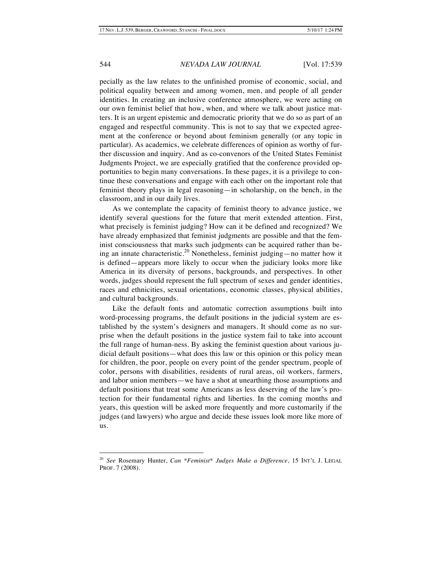pecially as the law relates to the unfinished promise of economic, social, and political equality between and among women, men, and people of all gender identities. In creating an inclusive conference atmosphere, we were acting on our own feminist belief that how, when, and where we talk about justice matters. It is an urgent epistemic and democratic priority that we do so as part of an engaged and respectful community. This is not to say that we expected agreement at the conference or beyond about feminism generally (or any topic in particular). As academics, we celebrate differences of opinion as worthy of further discussion and inquiry. And as co-convenors of the United States Feminist Judgments Project, we are especially gratified that the conference provided opportunities to begin many conversations. In these pages, it is a privilege to continue these conversations and engage with each other on the important role that feminist theory plays in legal reasoning—in scholarship, on the bench, in the classroom, and in our daily lives.

As we contemplate the capacity of feminist theory to advance justice, we identify several questions for the future that merit extended attention. First, what precisely is feminist judging? How can it be defined and recognized? We have already emphasized that feminist judgments are possible and that the feminist consciousness that marks such judgments can be acquired rather than being an innate characteristic.<sup>20</sup> Nonetheless, feminist judging—no matter how it is defined—appears more likely to occur when the judiciary looks more like America in its diversity of persons, backgrounds, and perspectives. In other words, judges should represent the full spectrum of sexes and gender identities, races and ethnicities, sexual orientations, economic classes, physical abilities, and cultural backgrounds.

Like the default fonts and automatic correction assumptions built into word-processing programs, the default positions in the judicial system are established by the system's designers and managers. It should come as no surprise when the default positions in the justice system fail to take into account the full range of human-ness. By asking the feminist question about various judicial default positions—what does this law or this opinion or this policy mean for children, the poor, people on every point of the gender spectrum, people of color, persons with disabilities, residents of rural areas, oil workers, farmers, and labor union members—we have a shot at unearthing those assumptions and default positions that treat some Americans as less deserving of the law's protection for their fundamental rights and liberties. In the coming months and years, this question will be asked more frequently and more customarily if the judges (and lawyers) who argue and decide these issues look more like more of us.

 <sup>20</sup> *See* Rosemary Hunter, *Can \*Feminist\* Judges Make a Difference*, 15 INT'L J. LEGAL PROF. 7 (2008).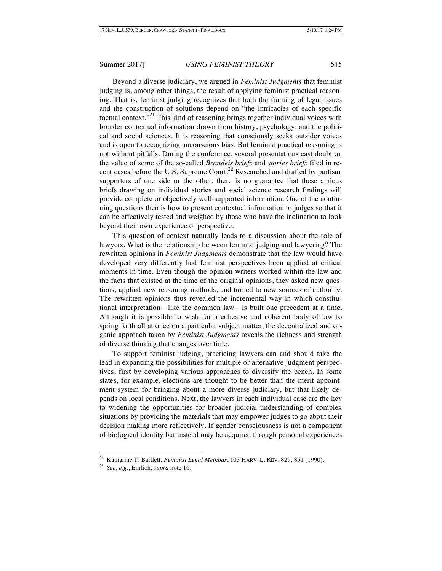Beyond a diverse judiciary, we argued in *Feminist Judgments* that feminist judging is, among other things, the result of applying feminist practical reasoning. That is, feminist judging recognizes that both the framing of legal issues and the construction of solutions depend on "the intricacies of each specific factual context."<sup>21</sup> This kind of reasoning brings together individual voices with broader contextual information drawn from history, psychology, and the political and social sciences. It is reasoning that consciously seeks outsider voices and is open to recognizing unconscious bias. But feminist practical reasoning is not without pitfalls. During the conference, several presentations cast doubt on the value of some of the so-called *Brandeis briefs* and *stories briefs* filed in recent cases before the U.S. Supreme Court.<sup>22</sup> Researched and drafted by partisan supporters of one side or the other, there is no guarantee that these amicus briefs drawing on individual stories and social science research findings will provide complete or objectively well-supported information. One of the continuing questions then is how to present contextual information to judges so that it can be effectively tested and weighed by those who have the inclination to look beyond their own experience or perspective.

This question of context naturally leads to a discussion about the role of lawyers. What is the relationship between feminist judging and lawyering? The rewritten opinions in *Feminist Judgments* demonstrate that the law would have developed very differently had feminist perspectives been applied at critical moments in time. Even though the opinion writers worked within the law and the facts that existed at the time of the original opinions, they asked new questions, applied new reasoning methods, and turned to new sources of authority. The rewritten opinions thus revealed the incremental way in which constitutional interpretation—like the common law—is built one precedent at a time. Although it is possible to wish for a cohesive and coherent body of law to spring forth all at once on a particular subject matter, the decentralized and organic approach taken by *Feminist Judgments* reveals the richness and strength of diverse thinking that changes over time.

To support feminist judging, practicing lawyers can and should take the lead in expanding the possibilities for multiple or alternative judgment perspectives, first by developing various approaches to diversify the bench. In some states, for example, elections are thought to be better than the merit appointment system for bringing about a more diverse judiciary, but that likely depends on local conditions. Next, the lawyers in each individual case are the key to widening the opportunities for broader judicial understanding of complex situations by providing the materials that may empower judges to go about their decision making more reflectively. If gender consciousness is not a component of biological identity but instead may be acquired through personal experiences

 <sup>21</sup> Katharine T. Bartlett, *Feminist Legal Methods*, 103 HARV. L. REV. 829, 851 (1990).

<sup>22</sup> *See, e.g.*, Ehrlich, *supra* note 16.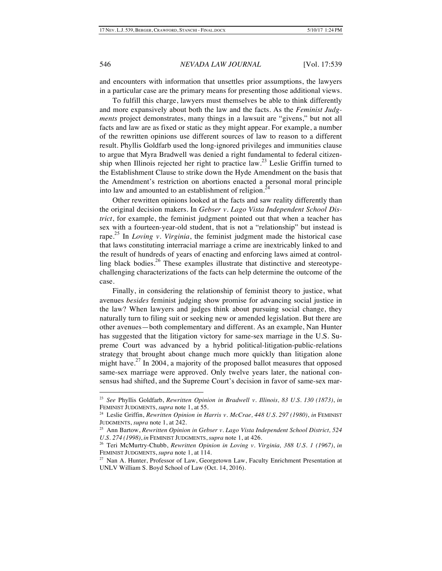and encounters with information that unsettles prior assumptions, the lawyers in a particular case are the primary means for presenting those additional views.

To fulfill this charge, lawyers must themselves be able to think differently and more expansively about both the law and the facts. As the *Feminist Judgments* project demonstrates, many things in a lawsuit are "givens," but not all facts and law are as fixed or static as they might appear. For example, a number of the rewritten opinions use different sources of law to reason to a different result. Phyllis Goldfarb used the long-ignored privileges and immunities clause to argue that Myra Bradwell was denied a right fundamental to federal citizenship when Illinois rejected her right to practice law.<sup>23</sup> Leslie Griffin turned to the Establishment Clause to strike down the Hyde Amendment on the basis that the Amendment's restriction on abortions enacted a personal moral principle into law and amounted to an establishment of religion.<sup>2</sup>

Other rewritten opinions looked at the facts and saw reality differently than the original decision makers. In *Gebser v. Lago Vista Independent School District*, for example, the feminist judgment pointed out that when a teacher has sex with a fourteen-year-old student, that is not a "relationship" but instead is rape. <sup>25</sup> In *Loving v. Virginia*, the feminist judgment made the historical case that laws constituting interracial marriage a crime are inextricably linked to and the result of hundreds of years of enacting and enforcing laws aimed at controlling black bodies.<sup>26</sup> These examples illustrate that distinctive and stereotypechallenging characterizations of the facts can help determine the outcome of the case.

Finally, in considering the relationship of feminist theory to justice, what avenues *besides* feminist judging show promise for advancing social justice in the law? When lawyers and judges think about pursuing social change, they naturally turn to filing suit or seeking new or amended legislation. But there are other avenues—both complementary and different. As an example, Nan Hunter has suggested that the litigation victory for same-sex marriage in the U.S. Supreme Court was advanced by a hybrid political-litigation-public-relations strategy that brought about change much more quickly than litigation alone might have. $27$  In 2004, a majority of the proposed ballot measures that opposed same-sex marriage were approved. Only twelve years later, the national consensus had shifted, and the Supreme Court's decision in favor of same-sex mar-

 <sup>23</sup> *See* Phyllis Goldfarb, *Rewritten Opinion in Bradwell v. Illinois, <sup>83</sup> U.S. <sup>130</sup> (1873)*, *in* FEMINIST JUDGMENTS, *supra* note 1, at 55.

<sup>24</sup> Leslie Griffin, *Rewritten Opinion in Harris v. McCrae, 448 U.S. 297 (1980)*, *in* FEMINIST JUDGMENTS, *supra* note 1, at 242.

<sup>25</sup> Ann Bartow, *Rewritten Opinion in Gebser v. Lago Vista Independent School District, 524 U.S. 274 (1998)*, *in* FEMINIST JUDGMENTS, *supra* note 1, at 426.

<sup>26</sup> Teri McMurtry-Chubb, *Rewritten Opinion in Loving v. Virginia, 388 U.S. 1 (1967)*, *in* FEMINIST JUDGMENTS, *supra* note 1, at 114.

<sup>&</sup>lt;sup>27</sup> Nan A. Hunter, Professor of Law, Georgetown Law, Faculty Enrichment Presentation at UNLV William S. Boyd School of Law (Oct. 14, 2016).